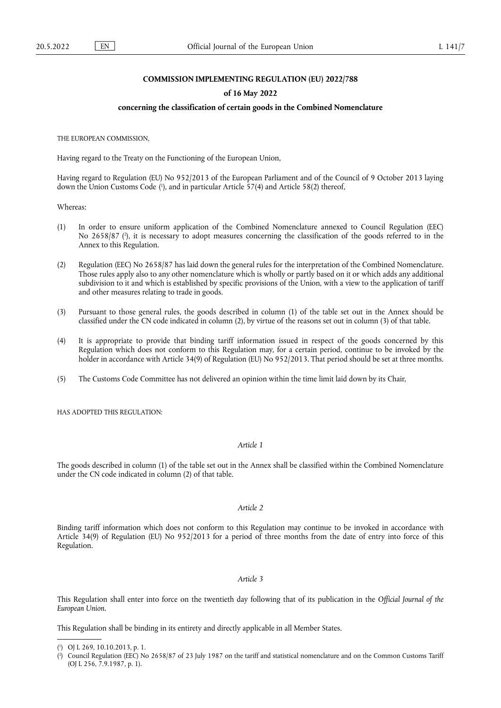## **COMMISSION IMPLEMENTING REGULATION (EU) 2022/788**

#### **of 16 May 2022**

### **concerning the classification of certain goods in the Combined Nomenclature**

THE EUROPEAN COMMISSION,

Having regard to the Treaty on the Functioning of the European Union,

<span id="page-0-2"></span>Having regard to Regulation (EU) No 952/2013 of the European Parliament and of the Council of 9 October 2013 laying down the Union Customs Code [\(](#page-0-0)'), and in particular Article 57(4) and Article 58(2) thereof,

Whereas:

- <span id="page-0-3"></span>(1) In order to ensure uniform application of the Combined Nomenclature annexed to Council Regulation (EEC) No 2658/87 (?[\),](#page-0-1) it is necessary to adopt measures concerning the classification of the goods referred to in the Annex to this Regulation.
- (2) Regulation (EEC) No 2658/87 has laid down the general rules for the interpretation of the Combined Nomenclature. Those rules apply also to any other nomenclature which is wholly or partly based on it or which adds any additional subdivision to it and which is established by specific provisions of the Union, with a view to the application of tariff and other measures relating to trade in goods.
- (3) Pursuant to those general rules, the goods described in column (1) of the table set out in the Annex should be classified under the CN code indicated in column (2), by virtue of the reasons set out in column (3) of that table.
- (4) It is appropriate to provide that binding tariff information issued in respect of the goods concerned by this Regulation which does not conform to this Regulation may, for a certain period, continue to be invoked by the holder in accordance with Article 34(9) of Regulation (EU) No 952/2013. That period should be set at three months.
- (5) The Customs Code Committee has not delivered an opinion within the time limit laid down by its Chair,

HAS ADOPTED THIS REGULATION.

### *Article 1*

The goods described in column (1) of the table set out in the Annex shall be classified within the Combined Nomenclature under the CN code indicated in column (2) of that table.

## *Article 2*

Binding tariff information which does not conform to this Regulation may continue to be invoked in accordance with Article 34(9) of Regulation (EU) No 952/2013 for a period of three months from the date of entry into force of this Regulation.

#### *Article 3*

This Regulation shall enter into force on the twentieth day following that of its publication in the *Official Journal of the European Union*.

This Regulation shall be binding in its entirety and directly applicable in all Member States.

<span id="page-0-0"></span>[<sup>\(</sup>](#page-0-2) 1 ) OJ L 269, 10.10.2013, p. 1.

<span id="page-0-1"></span>[<sup>\(</sup>](#page-0-3) 2 ) Council Regulation (EEC) No 2658/87 of 23 July 1987 on the tariff and statistical nomenclature and on the Common Customs Tariff (OJ L 256, 7.9.1987, p. 1).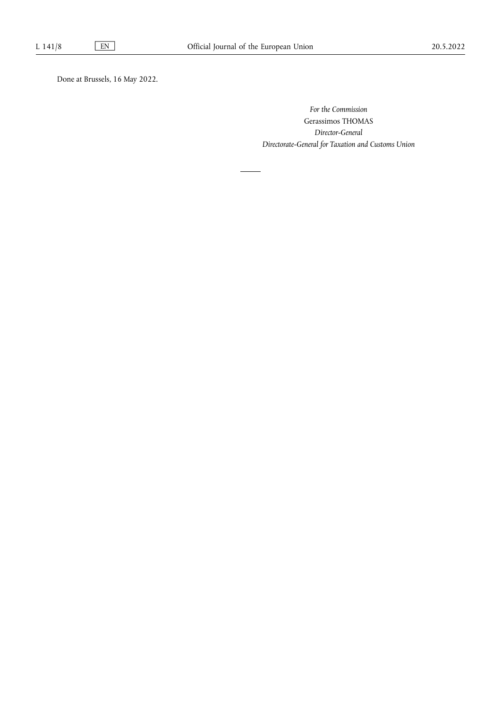Done at Brussels, 16 May 2022.

*For the Commission* Gerassimos THOMAS *Director-General Directorate-General for Taxation and Customs Union*